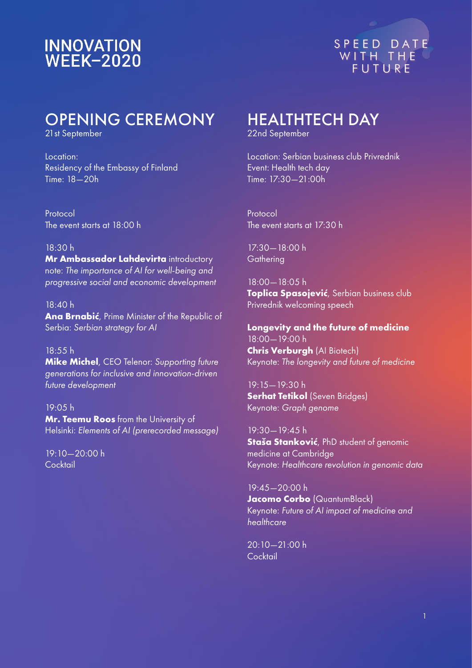# **INNOVATION<br>WEEK-2020**



# OPENING CEREMONY

21st September

Location: Residency of the Embassy of Finland Time: 18—20h

Protocol The event starts at 18:00 h

#### 18:30 h

**Mr Ambassador Lahdevirta** introductory note: *The importance of AI for well-being and progressive social and economic development*

#### 18:40 h

**Ana Brnabić**, Prime Minister of the Republic of Serbia: *Serbian strategy for AI* 

18:55 h **Mike Michel**, CEO Telenor: *Supporting future generations for inclusive and innovation-driven future development*

19:05 h **Mr. Teemu Roos** from the University of Helsinki: *Elements of AI (prerecorded message)* 

19:10—20:00 h **Cocktail** 

# HEALTHTECH DAY

22nd September

Location: Serbian business club Privrednik Event: Health tech day Time: 17:30—21:00h

Protocol The event starts at 17:30 h

17:30—18:00 h **Gathering** 

18:00—18:05 h **Toplica Spasojević**, Serbian business club Privrednik welcoming speech

**Longevity and the future of medicine**  18:00—19:00 h **Chris Verburgh** (AI Biotech) Keynote: *The longevity and future of medicine* 

19:15—19:30 h **Serhat Tetikol** (Seven Bridges) Keynote: *Graph genome*

19:30—19:45 h **Staša Stanković**, PhD student of genomic medicine at Cambridge Keynote: *Healthcare revolution in genomic data*

19:45—20:00 h **Jacomo Corbo** (QuantumBlack) Keynote: *Future of AI impact of medicine and healthcare*

20:10—21:00 h Cocktail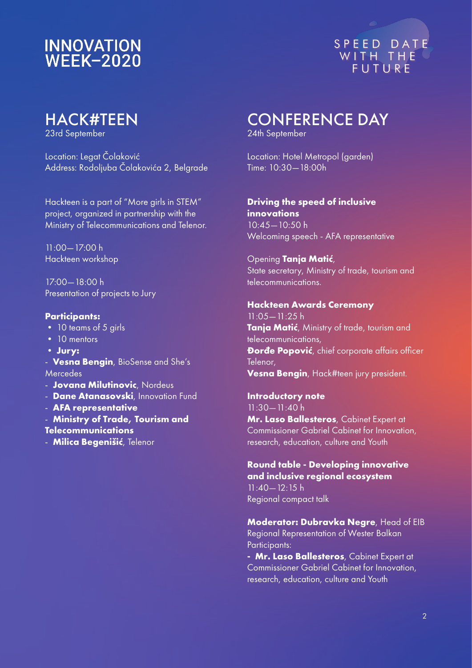# **INNOVATION WEEK-2020**



# HACK#TEEN

23rd September

Location: Legat Čolaković Address: Rodoljuba Čolakovića 2, Belgrade

Hackteen is a part of "More girls in STEM" project, organized in partnership with the Ministry of Telecommunications and Telenor.

11:00—17:00 h Hackteen workshop

17:00—18:00 h Presentation of projects to Jury

#### **Participants:**

- 10 teams of 5 girls
- 10 mentors
- **Jury:**

- **Vesna Bengin**, BioSense and She's Mercedes

- **Jovana Milutinovic**, Nordeus

- **Dane Atanasovski**, Innovation Fund

- **AFA representative**

- **Ministry of Trade, Tourism and** 

**Telecommunications** 

- **Milica Begenišić**, Telenor

# CONFERENCE DAY

24th September

Location: Hotel Metropol (garden) Time: 10:30—18:00h

#### **Driving the speed of inclusive innovations**

10:45—10:50 h Welcoming speech - AFA representative

## Opening **Tanja Matić**,

State secretary, Ministry of trade, tourism and telecommunications.

#### **Hackteen Awards Ceremony**

11:05—11:25 h **Tanja Matić**, Ministry of trade, tourism and telecommunications, **Đorđe Popović**, chief corporate affairs officer Telenor, **Vesna Bengin**, Hack#teen jury president.

**Introductory note** 11:30—11:40 h **Mr. Laso Ballesteros**, Cabinet Expert at Commissioner Gabriel Cabinet for Innovation, research, education, culture and Youth

## **Round table - Developing innovative and inclusive regional ecosystem**

11:40—12:15 h Regional compact talk

**Moderator: Dubravka Negre**, Head of EIB Regional Representation of Wester Balkan Participants:

**- Mr. Laso Ballesteros**, Cabinet Expert at Commissioner Gabriel Cabinet for Innovation, research, education, culture and Youth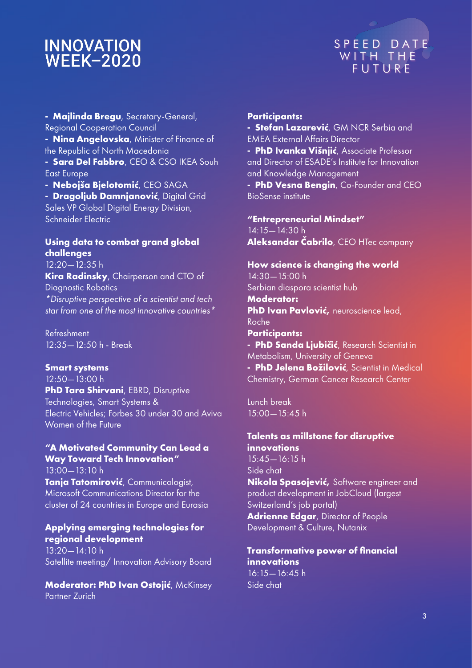## **INNOVATION WEEK-2020**



**- Majlinda Bregu**, Secretary-General, Regional Cooperation Council **- Nina Angelovska**, Minister of Finance of the Republic of North Macedonia **- Sara Del Fabbro**, CEO & CSO IKEA Souh East Europe

**- Nebojša Bjelotomić**, CEO SAGA

**- Dragoljub Damnjanović**, Digital Grid Sales VP Global Digital Energy Division, Schneider Electric

## **Using data to combat grand global challenges**

12:20 - 12:35 h **Kira Radinsky**, Chairperson and CTO of Diagnostic Robotics *\*Disruptive perspective of a scientist and tech star from one of the most innovative countries\**

Refreshment 12:35—12:50 h - Break

#### **Smart systems**

12:50—13:00 h **PhD Tara Shirvani**, EBRD, Disruptive Technologies, Smart Systems & Electric Vehicles; Forbes 30 under 30 and Aviva Women of the Future

## **"A Motivated Community Can Lead a Way Toward Tech Innovation"**

13:00—13:10 h **Tanja Tatomirović**, Communicologist, Microsoft Communications Director for the cluster of 24 countries in Europe and Eurasia

## **Applying emerging technologies for regional development**

13:20—14:10 h Satellite meeting/ Innovation Advisory Board

**Moderator: PhD Ivan Ostojić**, McKinsey Partner Zurich

#### **Participants:**

**- Stefan Lazarević**, GM NCR Serbia and EMEA External Affairs Director

**- PhD Ivanka Višnjić**, Associate Professor and Director of ESADE's Institute for Innovation and Knowledge Management

**- PhD Vesna Bengin**, Co-Founder and CEO BioSense institute

#### **"Entrepreneurial Mindset"**

14:15—14:30 h **Aleksandar Čabrilo**, CEO HTec company

## **How science is changing the world**

14:30—15:00 h Serbian diaspora scientist hub **Moderator: PhD Ivan Pavlović,** neuroscience lead, Roche **Participants: - PhD Sanda Ljubičić**, Research Scientist in Metabolism, University of Geneva **- PhD Jelena Božilović**, Scientist in Medical

Chemistry, German Cancer Research Center

Lunch break 15:00—15:45 h

## **Talents as millstone for disruptive innovations**

15:45—16:15 h Side chat **Nikola Spasojević,** Software engineer and product development in JobCloud (largest Switzerland's job portal) **Adrienne Edgar**, Director of People

Development & Culture, Nutanix

#### **Transformative power of financial innovations**  16:15—16:45 h Side chat

3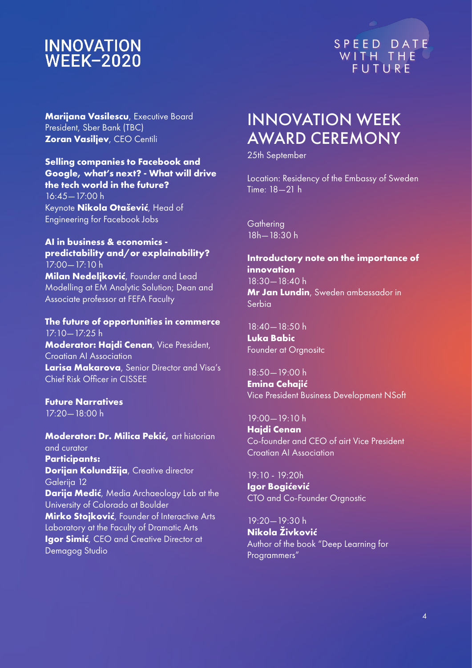# **INNOVATION<br>WEEK-2020**



**Marijana Vasilescu, Executive Board** President, Sber Bank (TBC) **Zoran Vasiljev**, CEO Centili

#### **Selling companies to Facebook and Google, what's next? - What will drive the tech world in the future?**

16:45—17:00 h Keynote **Nikola Otašević**, Head of Engineering for Facebook Jobs

#### **AI in business & economics predictability and/or explainability?**  17:00—17:10 h

**Milan Nedeljković**, Founder and Lead Modelling at EM Analytic Solution; Dean and Associate professor at FEFA Faculty

#### **The future of opportunities in commerce**   $17:10 - 17:25$  h **Moderator: Hajdi Cenan**, Vice President, Croatian AI Association **Larisa Makarova**, Senior Director and Visa's Chief Risk Officer in CISSEE

#### **Future Narratives**  17:20—18:00 h

**Moderator: Dr. Milica Pekić,** art historian and curator **Participants: Dorijan Kolundžija**, Creative director Galerija 12 **Darija Medić**, Media Archaeology Lab at the University of Colorado at Boulder **Mirko Stojković**, Founder of Interactive Arts Laboratory at the Faculty of Dramatic Arts **Igor Simić**, CEO and Creative Director at Demagog Studio

# INNOVATION WEEK AWARD CEREMONY

25th September

Location: Residency of the Embassy of Sweden Time: 18—21 h

**Gathering** 18h—18:30 h

#### **Introductory note on the importance of innovation**  18:30—18:40 h

**Mr Jan Lundin**, Sweden ambassador in Serbia

18:40—18:50 h **Luka Babic**  Founder at Orgnositc

## $18:50 - 19:00$  h

**Emina Cehajić**  Vice President Business Development NSoft

#### 19:00—19:10 h **Hajdi Cenan**  Co-founder and CEO of airt Vice President Croatian AI Association

19:10 - 19:20h **Igor Bogićević** CTO and Co-Founder Orgnostic

19:20—19:30 h **Nikola Živković**  Author of the book "Deep Learning for Programmers"